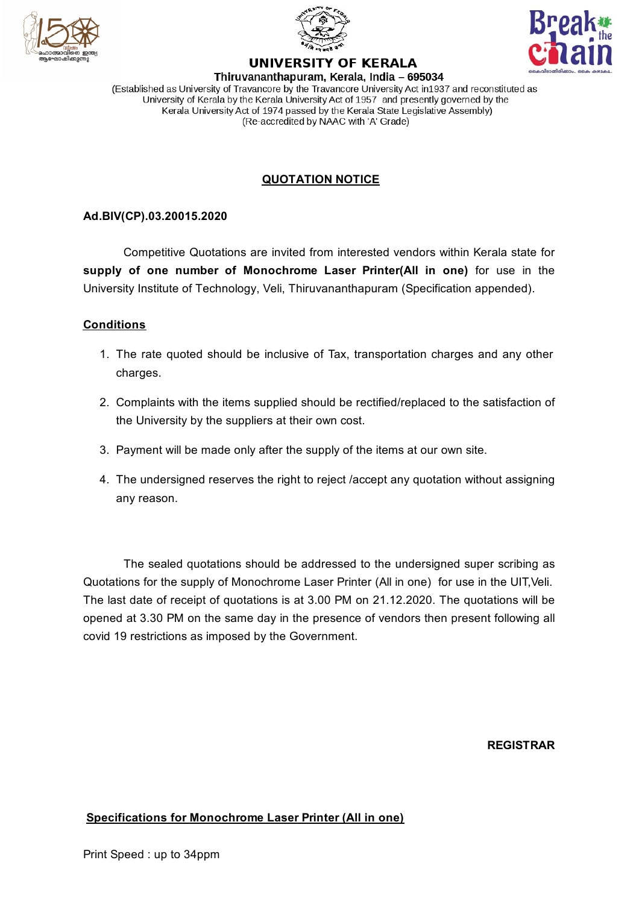





# **UNIVERSITY OF KERALA**

Thiruvananthapuram, Kerala, India - 695034 (Established as University of Travancore by the Travancore University Act in 1937 and reconstituted as University of Kerala by the Kerala University Act of 1957 and presently governed by the Kerala University Act of 1974 passed by the Kerala State Legislative Assembly) (Re-accredited by NAAC with 'A' Grade)

## **QUOTATION NOTICE**

## **Ad.BIV(CP).03.20015.2020**

Competitive Quotations are invited from interested vendors within Kerala state for **supply of one number of Monochrome Laser Printer(All in one)** for use in the University Institute of Technology, Veli, Thiruvananthapuram (Specification appended).

### **Conditions**

- 1. The rate quoted should be inclusive of Tax, transportation charges and any other charges.
- 2. Complaints with the items supplied should be rectified/replaced to the satisfaction of the University by the suppliers at their own cost.
- 3. Payment will be made only after the supply of the items at our own site.
- 4. The undersigned reserves the right to reject /accept any quotation without assigning any reason.

The sealed quotations should be addressed to the undersigned super scribing as Quotations for the supply of Monochrome Laser Printer (All in one) for use in the UIT,Veli. The last date of receipt of quotations is at 3.00 PM on 21.12.2020. The quotations will be opened at 3.30 PM on the same day in the presence of vendors then present following all covid 19 restrictions as imposed by the Government.

**REGISTRAR**

### **Specifications for Monochrome Laser Printer (All in one)**